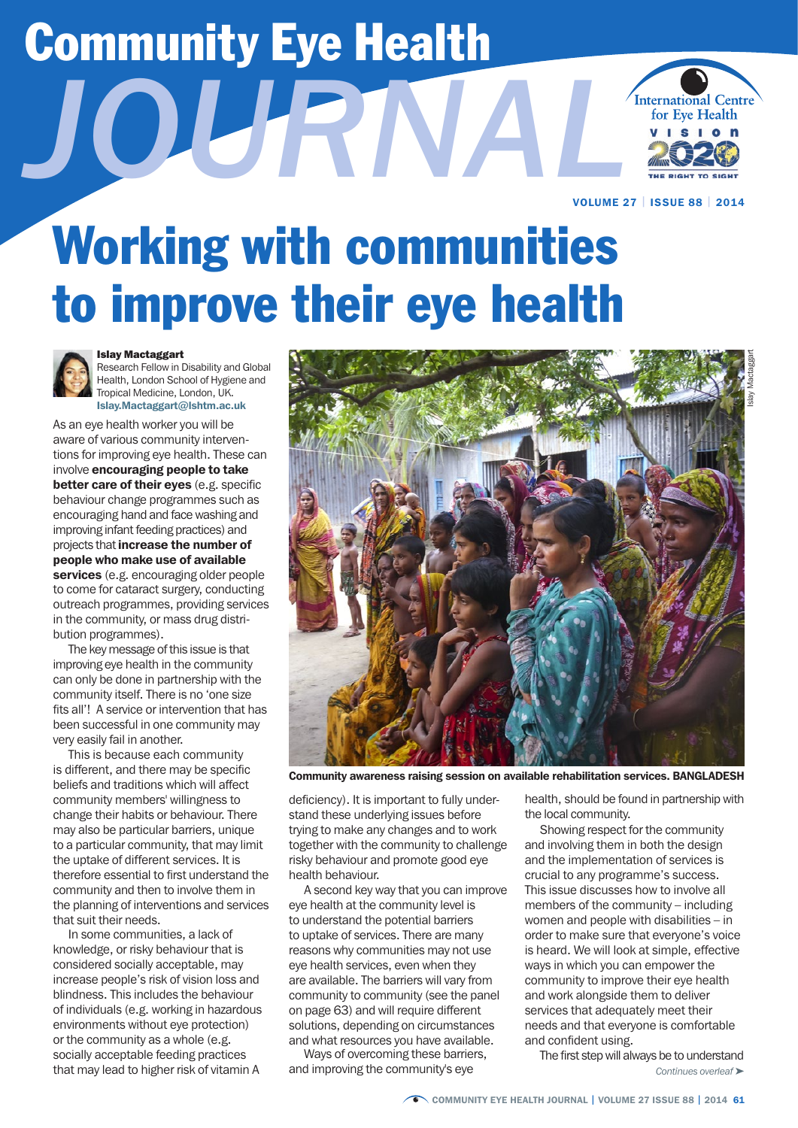# Community Eye Health

*JOURNAL*



VOLUME 27 | ISSUE 88 | 2014

## Working with communities to improve their eye health



#### Islay Mactaggart

Research Fellow in Disability and Global Health, London School of Hygiene and Tropical Medicine, London, UK. Islay.Mactaggart@lshtm.ac.uk

As an eye health worker you will be aware of various community interventions for improving eye health. These can involve encouraging people to take better care of their eyes (e.g. specific behaviour change programmes such as encouraging hand and face washing and improving infant feeding practices) and projects that increase the number of people who make use of available services (e.g. encouraging older people to come for cataract surgery, conducting outreach programmes, providing services in the community, or mass drug distribution programmes).

The key message of this issue is that improving eye health in the community can only be done in partnership with the community itself. There is no 'one size fits all'! A service or intervention that has been successful in one community may very easily fail in another.

This is because each community is different, and there may be specific beliefs and traditions which will affect community members' willingness to change their habits or behaviour. There may also be particular barriers, unique to a particular community, that may limit the uptake of different services. It is therefore essential to first understand the community and then to involve them in the planning of interventions and services that suit their needs.

In some communities, a lack of knowledge, or risky behaviour that is considered socially acceptable, may increase people's risk of vision loss and blindness. This includes the behaviour of individuals (e.g. working in hazardous environments without eye protection) or the community as a whole (e.g. socially acceptable feeding practices that may lead to higher risk of vitamin A



Community awareness raising session on available rehabilitation services. BANGLADESH

deficiency). It is important to fully understand these underlying issues before trying to make any changes and to work together with the community to challenge risky behaviour and promote good eye health behaviour.

A second key way that you can improve eye health at the community level is to understand the potential barriers to uptake of services. There are many reasons why communities may not use eye health services, even when they are available. The barriers will vary from community to community (see the panel on page 63) and will require different solutions, depending on circumstances and what resources you have available.

Ways of overcoming these barriers, and improving the community's eye

health, should be found in partnership with the local community.

Showing respect for the community and involving them in both the design and the implementation of services is crucial to any programme's success. This issue discusses how to involve all members of the community – including women and people with disabilities – in order to make sure that everyone's voice is heard. We will look at simple, effective ways in which you can empower the community to improve their eye health and work alongside them to deliver services that adequately meet their needs and that everyone is comfortable and confident using.

The first step will always be to understand *Continues overleaf* ➤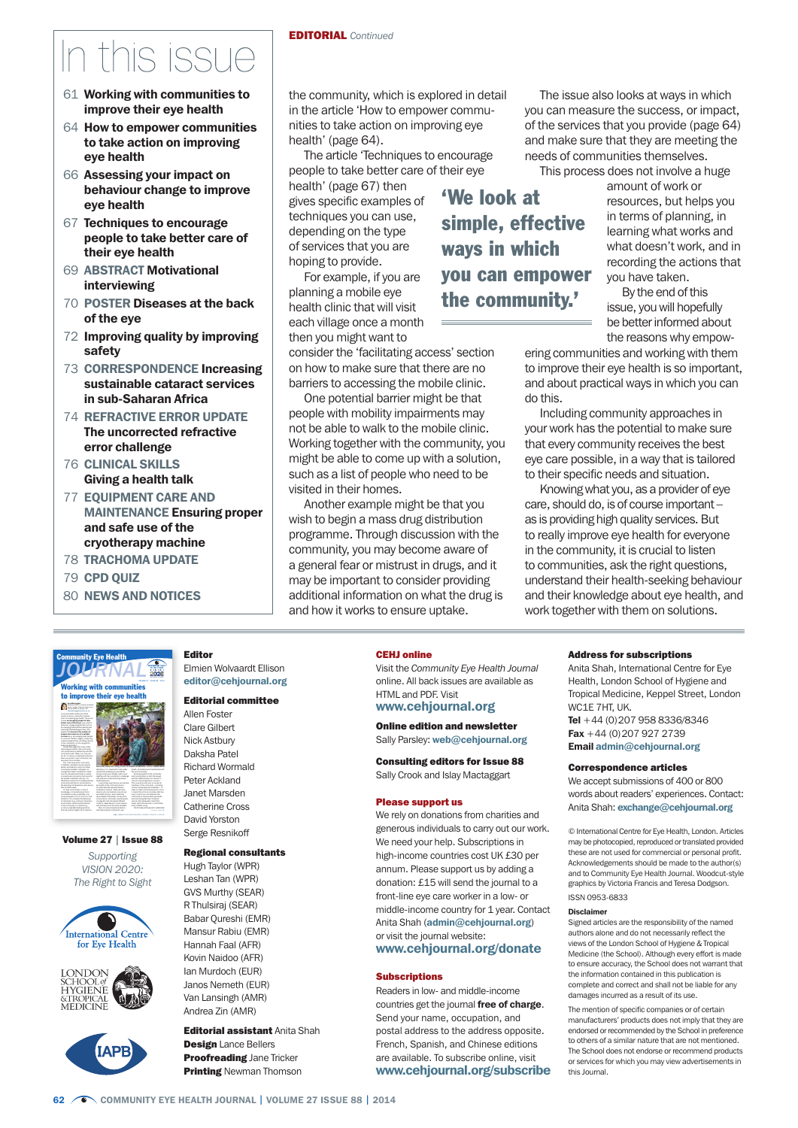## n this issue

- 61 Working with communities to improve their eye health
- 64 How to empower communities to take action on improving eye health
- 66 Assessing your impact on behaviour change to improve eye health
- 67 Techniques to encourage people to take better care of their eye health
- 69 ABSTRACT Motivational interviewing
- 70 POSTER Diseases at the back of the eye
- 72 Improving quality by improving safety
- 73 CORRESPONDENCE Increasing sustainable cataract services in sub-Saharan Africa
- 74 REFRACTIVE ERROR UPDATE The uncorrected refractive error challenge
- 76 CLINICAL SKILLS Giving a health talk
- 77 EQUIPMENT CARE AND MAINTENANCE Ensuring proper and safe use of the cryotherapy machine
- 78 TRACHOMA UPDATE
- 79 CPD QUIZ

involve encouraging people to take people who make use of available

Islay Mactaggart

Volume 27 | Issue 88 *Supporting VISION 2020: The Right to Sight*

International Centre for Eye Health

ONDON SCHOOL0J<br>HYGIENE MEDICINE

and what resources you have available.

80 NEWS AND NOTICES

#### EDITORIAL *Continued*

the community, which is explored in detail in the article 'How to empower communities to take action on improving eye health' (page 64).

The article 'Techniques to encourage people to take better care of their eye

health' (page 67) then gives specific examples of techniques you can use, depending on the type of services that you are hoping to provide.

For example, if you are planning a mobile eye health clinic that will visit each village once a month then you might want to

consider the 'facilitating access' section on how to make sure that there are no barriers to accessing the mobile clinic.

One potential barrier might be that people with mobility impairments may not be able to walk to the mobile clinic. Working together with the community, you might be able to come up with a solution, such as a list of people who need to be visited in their homes.

Another example might be that you wish to begin a mass drug distribution programme. Through discussion with the community, you may become aware of a general fear or mistrust in drugs, and it may be important to consider providing additional information on what the drug is and how it works to ensure uptake.

'We look at simple, effective ways in which you can empower

the community.'

The issue also looks at ways in which you can measure the success, or impact, of the services that you provide (page 64) and make sure that they are meeting the needs of communities themselves.

This process does not involve a huge

amount of work or resources, but helps you in terms of planning, in learning what works and what doesn't work, and in recording the actions that you have taken.

By the end of this issue, you will hopefully be better informed about the reasons why empow-

ering communities and working with them to improve their eye health is so important, and about practical ways in which you can do this.

Including community approaches in your work has the potential to make sure that every community receives the best eye care possible, in a way that is tailored to their specific needs and situation.

Knowing what you, as a provider of eye care, should do, is of course important – as is providing high quality services. But to really improve eye health for everyone in the community, it is crucial to listen to communities, ask the right questions, understand their health-seeking behaviour and their knowledge about eye health, and work together with them on solutions.

Elmien Wolvaardt Ellison editor@cehjournal.org

#### Editorial committee

Allen Foster Clare Gilbert Nick Astbury Daksha Patel Richard Wormald Peter Ackland Janet Marsden Catherine Cross David Yorston Serge Resnikoff

#### Regional consultants

Hugh Taylor (WPR) Leshan Tan (WPR) GVS Murthy (SEAR) R Thulsiraj (SEAR) Babar Qureshi (EMR) Mansur Rabiu (EMR) Hannah Faal (AFR) Kovin Naidoo (AFR) Ian Murdoch (EUR) Janos Nemeth (EUR) Van Lansingh (AMR) Andrea Zin (AMR)

**Editorial assistant Anita Shah Design Lance Bellers Proofreading Jane Tricker Printing Newman Thomson** 

#### CEHJ online

Visit the *Community Eye Health Journal*  online. All back issues are available as HTML and PDF. Visit www.cehjournal.org

#### Online edition and newsletter Sally Parsley: web@cehjournal.org

Consulting editors for Issue 88 Sally Crook and Islay Mactaggart

#### Please support us

We rely on donations from charities and generous individuals to carry out our work. We need your help. Subscriptions in high-income countries cost UK £30 per annum. Please support us by adding a donation: £15 will send the journal to a front-line eye care worker in a low- or middle-income country for 1 year. Contact Anita Shah (admin@cehjournal.org) or visit the journal website: www.cehjournal.org/donate

#### **Subscriptions**

Readers in low- and middle-income countries get the journal free of charge. Send your name, occupation, and postal address to the address opposite. French, Spanish, and Chinese editions are available. To subscribe online, visit www.cehjournal.org/subscribe

#### Address for subscriptions

Anita Shah, International Centre for Eye Health, London School of Hygiene and Tropical Medicine, Keppel Street, London WC1E 7HT, UK. Tel +44 (0)207 958 8336/8346

Fax  $+44$  (0) 207 927 2739 Email admin@cehjournal.org

#### Correspondence articles

We accept submissions of 400 or 800 words about readers' experiences. Contact: Anita Shah: exchange@cehjournal.org

© International Centre for Eye Health, London. Articles may be photocopied, reproduced or translated provided these are not used for commercial or personal profit. Acknowledgements should be made to the author(s) and to Community Eye Health Journal. Woodcut-style graphics by Victoria Francis and Teresa Dodgson. ISSN 0953-6833

#### Disclaimer

Signed articles are the responsibility of the named authors alone and do not necessarily reflect the views of the London School of Hygiene & Tropical Medicine (the School). Although every effort is made to ensure accuracy, the School does not warrant that the information contained in this publication is complete and correct and shall not be liable for any damages incurred as a result of its use.

The mention of specific companies or of certain manufacturers' products does not imply that they are endorsed or recommended by the School in preference to others of a similar nature that are not mentioned. The School does not endorse or recommend products or services for which you may view advertisements in this Journal.

#### Community Eye Health *JOURNAL* Research Fellow in Disability and Global orking with com to improve their eye heal Editor

and involving them in both the design.

and confident using.